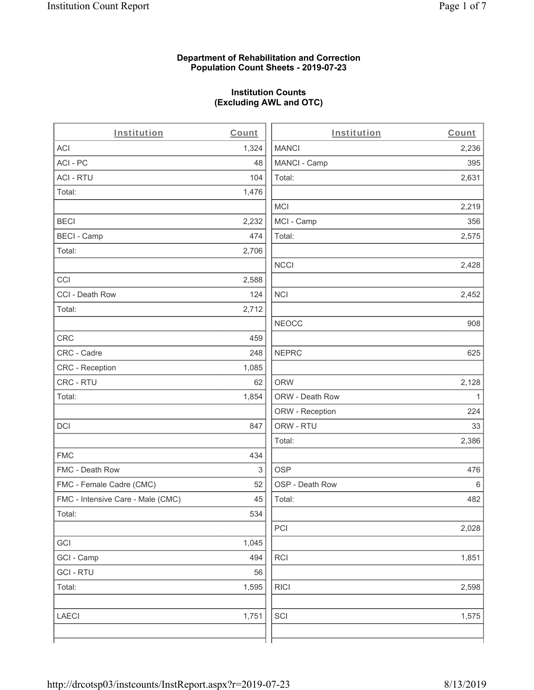#### **Department of Rehabilitation and Correction Population Count Sheets - 2019-07-23**

# **Institution Counts (Excluding AWL and OTC)**

| Institution                       | Count | Institution     | Count |
|-----------------------------------|-------|-----------------|-------|
| ACI                               | 1,324 | <b>MANCI</b>    | 2,236 |
| ACI-PC                            | 48    | MANCI - Camp    | 395   |
| <b>ACI - RTU</b>                  | 104   | Total:          | 2,631 |
| Total:                            | 1,476 |                 |       |
|                                   |       | <b>MCI</b>      | 2,219 |
| <b>BECI</b>                       | 2,232 | MCI - Camp      | 356   |
| <b>BECI - Camp</b>                | 474   | Total:          | 2,575 |
| Total:                            | 2,706 |                 |       |
|                                   |       | <b>NCCI</b>     | 2,428 |
| CCI                               | 2,588 |                 |       |
| CCI - Death Row                   | 124   | <b>NCI</b>      | 2,452 |
| Total:                            | 2,712 |                 |       |
|                                   |       | <b>NEOCC</b>    | 908   |
| CRC                               | 459   |                 |       |
| CRC - Cadre                       | 248   | <b>NEPRC</b>    | 625   |
| CRC - Reception                   | 1,085 |                 |       |
| CRC - RTU                         | 62    | <b>ORW</b>      | 2,128 |
| Total:                            | 1,854 | ORW - Death Row | 1     |
|                                   |       | ORW - Reception | 224   |
| <b>DCI</b>                        | 847   | ORW - RTU       | 33    |
|                                   |       | Total:          | 2,386 |
| <b>FMC</b>                        | 434   |                 |       |
| FMC - Death Row                   | 3     | <b>OSP</b>      | 476   |
| FMC - Female Cadre (CMC)          | 52    | OSP - Death Row | 6     |
| FMC - Intensive Care - Male (CMC) | 45    | Total:          | 482   |
| Total:                            | 534   |                 |       |
|                                   |       | PCI             | 2,028 |
| GCI                               | 1,045 |                 |       |
| GCI - Camp                        | 494   | RCI             | 1,851 |
| <b>GCI-RTU</b>                    | 56    |                 |       |
| Total:                            | 1,595 | <b>RICI</b>     | 2,598 |
|                                   |       |                 |       |
| <b>LAECI</b>                      | 1,751 | SCI             | 1,575 |
|                                   |       |                 |       |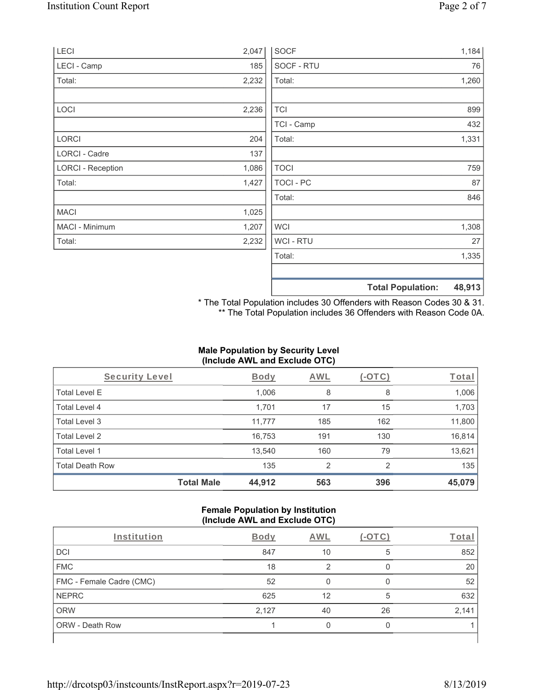| LECI                     | 2,047 | <b>SOCF</b>      | 1,184                              |
|--------------------------|-------|------------------|------------------------------------|
| LECI - Camp              | 185   | SOCF - RTU       | 76                                 |
| Total:                   | 2,232 | Total:           | 1,260                              |
|                          |       |                  |                                    |
| LOCI                     | 2,236 | <b>TCI</b>       | 899                                |
|                          |       | TCI - Camp       | 432                                |
| LORCI                    | 204   | Total:           | 1,331                              |
| LORCI - Cadre            | 137   |                  |                                    |
| <b>LORCI - Reception</b> | 1,086 | <b>TOCI</b>      | 759                                |
| Total:                   | 1,427 | <b>TOCI - PC</b> | 87                                 |
|                          |       | Total:           | 846                                |
| <b>MACI</b>              | 1,025 |                  |                                    |
| MACI - Minimum           | 1,207 | <b>WCI</b>       | 1,308                              |
| Total:                   | 2,232 | WCI - RTU        | 27                                 |
|                          |       | Total:           | 1,335                              |
|                          |       |                  |                                    |
|                          |       |                  | 48,913<br><b>Total Population:</b> |

\* The Total Population includes 30 Offenders with Reason Codes 30 & 31. \*\* The Total Population includes 36 Offenders with Reason Code 0A.

# **Male Population by Security Level (Include AWL and Exclude OTC)**

| Security Level         |                   | <b>Body</b> | <b>AWL</b> | $(-\text{OTC})$ | Total  |
|------------------------|-------------------|-------------|------------|-----------------|--------|
| <b>Total Level E</b>   |                   | 1,006       | 8          | 8               | 1,006  |
| <b>Total Level 4</b>   |                   | 1,701       | 17         | 15              | 1,703  |
| Total Level 3          |                   | 11,777      | 185        | 162             | 11,800 |
| Total Level 2          |                   | 16,753      | 191        | 130             | 16,814 |
| Total Level 1          |                   | 13,540      | 160        | 79              | 13,621 |
| <b>Total Death Row</b> |                   | 135         | 2          | $\mathcal{P}$   | 135    |
|                        | <b>Total Male</b> | 44,912      | 563        | 396             | 45,079 |

#### **Female Population by Institution (Include AWL and Exclude OTC)**

| Institution              | <b>Body</b> | <b>AWL</b> | - 1 | Total |
|--------------------------|-------------|------------|-----|-------|
| <b>DCI</b>               | 847         | 10         | 5   | 852   |
| <b>FMC</b>               | 18          | റ          |     | 20    |
| FMC - Female Cadre (CMC) | 52          |            |     | 52    |
| <b>NEPRC</b>             | 625         | 12         | 5   | 632   |
| <b>ORW</b>               | 2,127       | 40         | 26  | 2,141 |
| <b>ORW - Death Row</b>   |             |            |     |       |
|                          |             |            |     |       |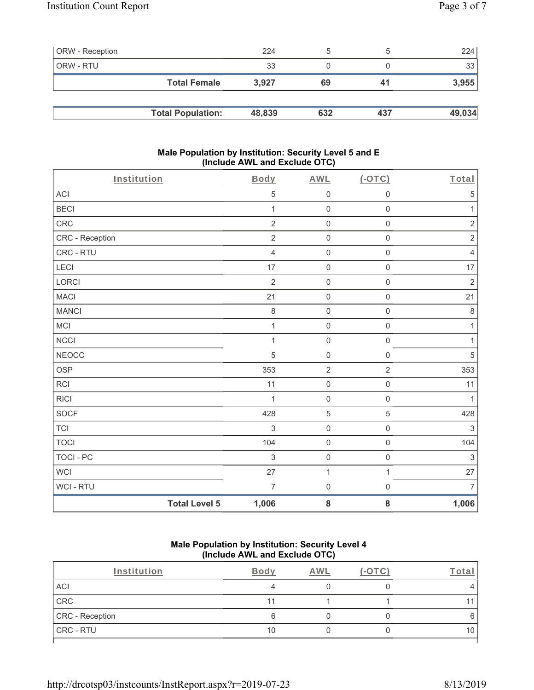| <b>ORW</b> - Reception |                          | 224    |     |     | 224    |
|------------------------|--------------------------|--------|-----|-----|--------|
| <b>ORW - RTU</b>       |                          | 33     |     |     | 33     |
|                        | <b>Total Female</b>      | 3.927  | 69  | 41  | 3,955  |
|                        |                          |        |     |     |        |
|                        | <b>Total Population:</b> | 48,839 | 632 | 437 | 49,034 |

### **Male Population by Institution: Security Level 5 and E (Include AWL and Exclude OTC)**

| Institution     |                      | Body           | <b>AWL</b>          | (OTC)               | Total          |
|-----------------|----------------------|----------------|---------------------|---------------------|----------------|
| ACI             |                      | $\,$ 5 $\,$    | $\mathsf{O}\xspace$ | $\mathbf 0$         | $\mathbf 5$    |
| <b>BECI</b>     |                      | $\mathbf{1}$   | $\mathsf{O}\xspace$ | $\mathsf{O}\xspace$ | $\mathbf{1}$   |
| CRC             |                      | $\overline{2}$ | $\mathsf{O}\xspace$ | $\mathsf{O}\xspace$ | $\sqrt{2}$     |
| CRC - Reception |                      | $\sqrt{2}$     | $\boldsymbol{0}$    | $\mathbf 0$         | $\sqrt{2}$     |
| CRC - RTU       |                      | $\overline{4}$ | $\mathsf{O}\xspace$ | $\mathbf 0$         | $\sqrt{4}$     |
| LECI            |                      | 17             | $\boldsymbol{0}$    | $\mathsf 0$         | 17             |
| <b>LORCI</b>    |                      | $\overline{2}$ | $\boldsymbol{0}$    | $\mathsf{O}\xspace$ | $\sqrt{2}$     |
| <b>MACI</b>     |                      | 21             | $\mathsf{O}\xspace$ | $\mathsf{O}\xspace$ | 21             |
| <b>MANCI</b>    |                      | $\,8\,$        | $\boldsymbol{0}$    | $\mathbf 0$         | $\,8\,$        |
| MCI             |                      | $\mathbf 1$    | $\mathsf{O}\xspace$ | $\mathbf 0$         | $\mathbf{1}$   |
| <b>NCCI</b>     |                      | 1              | $\mathbf 0$         | $\mathbf 0$         | $\mathbf{1}$   |
| NEOCC           |                      | 5              | $\boldsymbol{0}$    | $\mathsf{O}\xspace$ | $\overline{5}$ |
| <b>OSP</b>      |                      | 353            | $\overline{2}$      | $\overline{2}$      | 353            |
| <b>RCI</b>      |                      | 11             | $\pmb{0}$           | $\mathbf 0$         | 11             |
| <b>RICI</b>     |                      | $\mathbf{1}$   | $\mathsf{O}\xspace$ | $\mathbf 0$         | $\mathbf{1}$   |
| SOCF            |                      | 428            | $\sqrt{5}$          | 5                   | 428            |
| <b>TCI</b>      |                      | 3              | $\mathbf 0$         | $\mathbf 0$         | $\sqrt{3}$     |
| <b>TOCI</b>     |                      | 104            | $\mathsf{O}$        | $\mathbf 0$         | 104            |
| TOCI - PC       |                      | $\sqrt{3}$     | $\mathsf{O}\xspace$ | $\mathsf 0$         | $\sqrt{3}$     |
| <b>WCI</b>      |                      | 27             | $\mathbf{1}$        | $\mathbf{1}$        | 27             |
| WCI - RTU       |                      | $\overline{7}$ | $\mathsf{O}\xspace$ | $\mathsf{O}\xspace$ | $\overline{7}$ |
|                 | <b>Total Level 5</b> | 1,006          | 8                   | ${\bf 8}$           | 1,006          |

### **Male Population by Institution: Security Level 4 (Include AWL and Exclude OTC)**

| Institution     | <b>Body</b> | AWI. | otal |
|-----------------|-------------|------|------|
| ACI             |             |      |      |
| CRC             | 11          |      | 11   |
| CRC - Reception |             |      | 6    |
| CRC - RTU       | 10          |      | 10   |
|                 |             |      |      |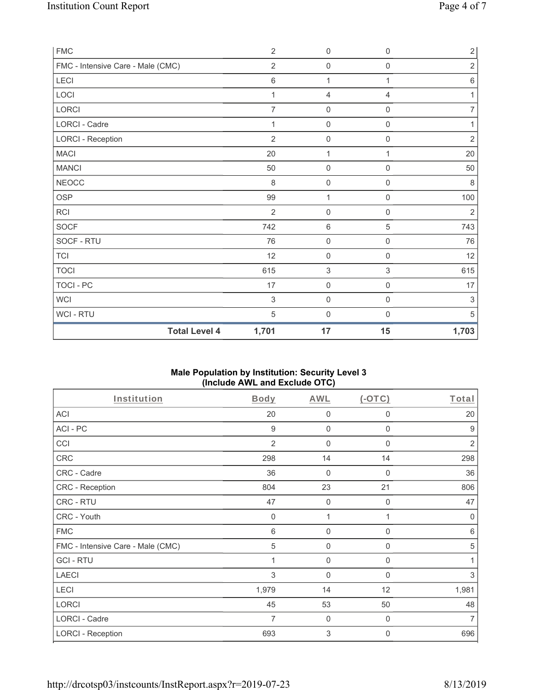| <b>FMC</b>                        | $\overline{2}$ | $\mathbf 0$         | 0            | $\overline{2}$ |
|-----------------------------------|----------------|---------------------|--------------|----------------|
| FMC - Intensive Care - Male (CMC) | $\overline{2}$ | $\mathbf 0$         | 0            | $\sqrt{2}$     |
| LECI                              | 6              | $\mathbf{1}$        | $\mathbf{1}$ | $\,6\,$        |
| LOCI                              | 1              | $\overline{4}$      | 4            | 1              |
| LORCI                             | 7              | $\mathbf 0$         | $\mathbf 0$  | $\overline{7}$ |
| LORCI - Cadre                     | $\mathbf{1}$   | $\mathbf 0$         | 0            | $\mathbf{1}$   |
| <b>LORCI - Reception</b>          | $\overline{2}$ | $\mathbf 0$         | $\mathsf 0$  | $\sqrt{2}$     |
| <b>MACI</b>                       | 20             | 1                   | 1            | $20\,$         |
| <b>MANCI</b>                      | 50             | $\mathbf 0$         | 0            | 50             |
| <b>NEOCC</b>                      | 8              | $\mathbf 0$         | 0            | 8              |
| <b>OSP</b>                        | 99             | 1                   | $\mathbf 0$  | 100            |
| <b>RCI</b>                        | $\overline{2}$ | $\mathbf 0$         | 0            | $\overline{2}$ |
| SOCF                              | 742            | $\,6\,$             | 5            | 743            |
| SOCF - RTU                        | 76             | $\mathsf{O}\xspace$ | $\mathsf 0$  | 76             |
| <b>TCI</b>                        | 12             | $\mathbf 0$         | 0            | 12             |
| <b>TOCI</b>                       | 615            | $\sqrt{3}$          | 3            | 615            |
| TOCI - PC                         | 17             | $\mathbf 0$         | $\mathbf 0$  | 17             |
| <b>WCI</b>                        | 3              | $\mathsf 0$         | $\mathsf 0$  | 3              |
| WCI - RTU                         | $\sqrt{5}$     | $\mathbf 0$         | $\mathsf 0$  | 5              |
| <b>Total Level 4</b>              | 1,701          | 17                  | 15           | 1,703          |

#### **Male Population by Institution: Security Level 3 (Include AWL and Exclude OTC)**

| Institution                       | Body           | AWL            | $($ -OTC $)$ | Total          |
|-----------------------------------|----------------|----------------|--------------|----------------|
| ACI                               | 20             | 0              | 0            | 20             |
| ACI-PC                            | 9              | 0              | 0            | 9              |
| CCI                               | $\overline{2}$ | 0              | $\mathbf{0}$ | $\overline{2}$ |
| CRC                               | 298            | 14             | 14           | 298            |
| CRC - Cadre                       | 36             | $\overline{0}$ | $\Omega$     | 36             |
| <b>CRC - Reception</b>            | 804            | 23             | 21           | 806            |
| CRC - RTU                         | 47             | $\mathbf 0$    | $\mathbf 0$  | 47             |
| CRC - Youth                       | $\mathbf 0$    | 1              |              | $\mathbf 0$    |
| <b>FMC</b>                        | 6              | $\mathbf 0$    | $\mathbf 0$  | 6              |
| FMC - Intensive Care - Male (CMC) | 5              | 0              | 0            | $\sqrt{5}$     |
| <b>GCI-RTU</b>                    |                | 0              | 0            |                |
| <b>LAECI</b>                      | 3              | 0              | 0            | 3              |
| LECI                              | 1,979          | 14             | 12           | 1,981          |
| <b>LORCI</b>                      | 45             | 53             | 50           | 48             |
| LORCI - Cadre                     | 7              | $\mathbf 0$    | 0            | 7              |
| <b>LORCI - Reception</b>          | 693            | $\mathfrak{S}$ | 0            | 696            |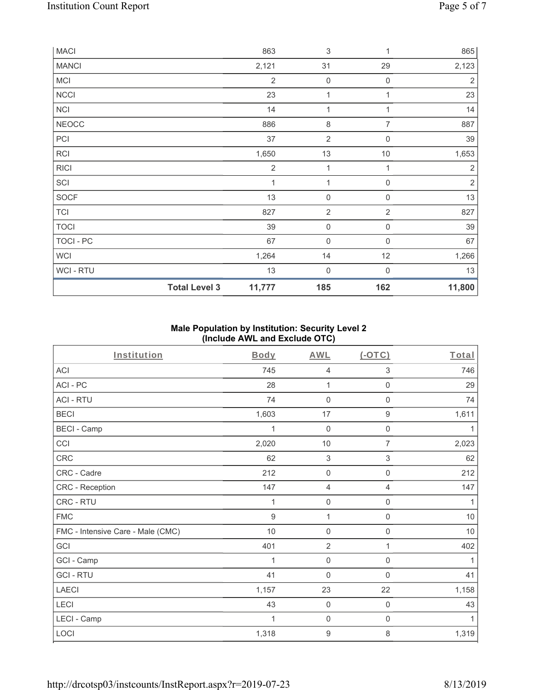| <b>MACI</b>    |                      | 863            | $\ensuremath{\mathsf{3}}$ | 1           | 865            |
|----------------|----------------------|----------------|---------------------------|-------------|----------------|
| <b>MANCI</b>   |                      | 2,121          | 31                        | 29          | 2,123          |
| MCI            |                      | $\overline{2}$ | $\mathsf{O}\xspace$       | $\mathbf 0$ | $\sqrt{2}$     |
| <b>NCCI</b>    |                      | 23             | 1                         | 1           | 23             |
| <b>NCI</b>     |                      | 14             | 1                         | 1           | 14             |
| <b>NEOCC</b>   |                      | 886            | $\,8\,$                   | 7           | 887            |
| PCI            |                      | 37             | $\sqrt{2}$                | $\mathbf 0$ | 39             |
| <b>RCI</b>     |                      | 1,650          | 13                        | $10$        | 1,653          |
| <b>RICI</b>    |                      | $\overline{2}$ | 1                         | 1           | $\overline{2}$ |
| SCI            |                      | 1              | 1                         | $\mathbf 0$ | $\sqrt{2}$     |
| SOCF           |                      | 13             | $\mathbf 0$               | $\mathbf 0$ | 13             |
| <b>TCI</b>     |                      | 827            | $\sqrt{2}$                | $\sqrt{2}$  | 827            |
| <b>TOCI</b>    |                      | 39             | $\mathsf{O}\xspace$       | $\mathbf 0$ | 39             |
| TOCI - PC      |                      | 67             | $\mathbf 0$               | $\mathbf 0$ | 67             |
| WCI            |                      | 1,264          | 14                        | 12          | 1,266          |
| <b>WCI-RTU</b> |                      | 13             | $\boldsymbol{0}$          | $\mathbf 0$ | 13             |
|                | <b>Total Level 3</b> | 11,777         | 185                       | 162         | 11,800         |

### **Male Population by Institution: Security Level 2 (Include AWL and Exclude OTC)**

| Institution                       | <b>Body</b> | <b>AWL</b>          | (OTC)               | Total        |
|-----------------------------------|-------------|---------------------|---------------------|--------------|
| <b>ACI</b>                        | 745         | 4                   | 3                   | 746          |
| ACI-PC                            | 28          | 1                   | $\mathbf 0$         | 29           |
| <b>ACI - RTU</b>                  | 74          | $\mathsf{O}\xspace$ | $\mathsf 0$         | 74           |
| <b>BECI</b>                       | 1,603       | 17                  | $\boldsymbol{9}$    | 1,611        |
| <b>BECI - Camp</b>                | 1           | $\boldsymbol{0}$    | $\boldsymbol{0}$    | 1            |
| CCI                               | 2,020       | 10                  | 7                   | 2,023        |
| CRC                               | 62          | $\sqrt{3}$          | 3                   | 62           |
| CRC - Cadre                       | 212         | $\mathbf 0$         | $\mathbf 0$         | 212          |
| CRC - Reception                   | 147         | $\overline{4}$      | $\overline{4}$      | 147          |
| CRC - RTU                         | 1           | $\mathbf 0$         | $\mathsf{O}\xspace$ | 1            |
| <b>FMC</b>                        | 9           | 1                   | $\mathbf 0$         | $10$         |
| FMC - Intensive Care - Male (CMC) | 10          | $\mathsf{O}\xspace$ | $\mathsf{O}\xspace$ | $10$         |
| GCI                               | 401         | $\overline{2}$      | 1                   | 402          |
| GCI - Camp                        | 1           | $\mathbf 0$         | $\mathbf 0$         | $\mathbf{1}$ |
| <b>GCI-RTU</b>                    | 41          | $\mathbf 0$         | $\Omega$            | 41           |
| <b>LAECI</b>                      | 1,157       | 23                  | 22                  | 1,158        |
| LECI                              | 43          | $\mathbf 0$         | $\mathbf 0$         | 43           |
| LECI - Camp                       | 1           | $\mathbf 0$         | 0                   | 1            |
| LOCI                              | 1,318       | $\boldsymbol{9}$    | 8                   | 1,319        |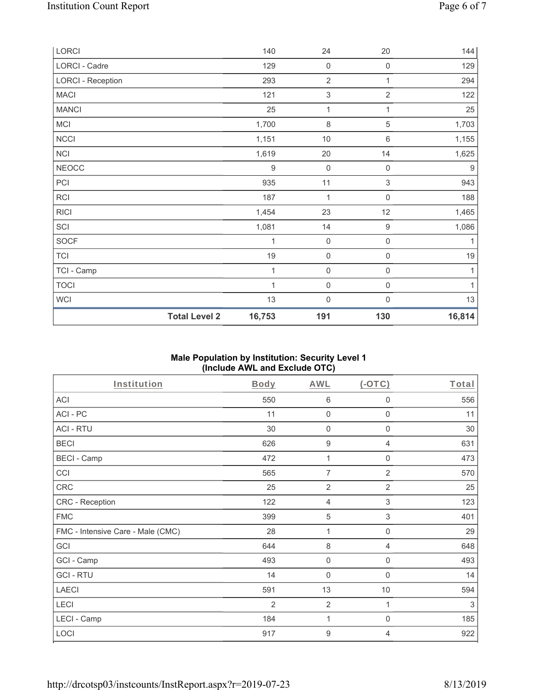| LORCI                    |                      | 140              | 24                  | $20\,$              | 144    |
|--------------------------|----------------------|------------------|---------------------|---------------------|--------|
| LORCI - Cadre            |                      | 129              | $\mathsf{O}\xspace$ | 0                   | 129    |
| <b>LORCI - Reception</b> |                      | 293              | $\sqrt{2}$          | 1                   | 294    |
| <b>MACI</b>              |                      | 121              | $\sqrt{3}$          | $\overline{2}$      | 122    |
| <b>MANCI</b>             |                      | 25               | 1                   | 1                   | 25     |
| MCI                      |                      | 1,700            | $\,8\,$             | 5                   | 1,703  |
| NCCI                     |                      | 1,151            | $10$                | $6\,$               | 1,155  |
| NCI                      |                      | 1,619            | 20                  | 14                  | 1,625  |
| <b>NEOCC</b>             |                      | $\boldsymbol{9}$ | $\mathsf{O}\xspace$ | $\mathsf{O}\xspace$ | $9\,$  |
| PCI                      |                      | 935              | 11                  | 3                   | 943    |
| <b>RCI</b>               |                      | 187              | 1                   | 0                   | 188    |
| <b>RICI</b>              |                      | 1,454            | 23                  | 12                  | 1,465  |
| SCI                      |                      | 1,081            | 14                  | $\boldsymbol{9}$    | 1,086  |
| <b>SOCF</b>              |                      | 1                | $\mathsf{O}\xspace$ | $\mathsf{O}\xspace$ | 1      |
| <b>TCI</b>               |                      | 19               | $\mathsf{O}\xspace$ | $\mathsf{O}\xspace$ | 19     |
| TCI - Camp               |                      | 1                | $\mathsf{O}\xspace$ | $\mathsf{O}\xspace$ | 1      |
| <b>TOCI</b>              |                      | 1                | $\mathsf{O}\xspace$ | 0                   | 1      |
| WCI                      |                      | 13               | $\mathsf{O}\xspace$ | 0                   | 13     |
|                          | <b>Total Level 2</b> | 16,753           | 191                 | 130                 | 16,814 |

# **Male Population by Institution: Security Level 1 (Include AWL and Exclude OTC)**

| Institution                       | Body           | <b>AWL</b>       | $(-OTC)$                  | Total  |
|-----------------------------------|----------------|------------------|---------------------------|--------|
| ACI                               | 550            | 6                | $\mathbf 0$               | 556    |
| ACI-PC                            | 11             | $\mathbf 0$      | $\mathbf 0$               | 11     |
| <b>ACI - RTU</b>                  | 30             | $\mathbf 0$      | $\boldsymbol{0}$          | $30\,$ |
| <b>BECI</b>                       | 626            | $\boldsymbol{9}$ | 4                         | 631    |
| <b>BECI - Camp</b>                | 472            | 1                | $\boldsymbol{0}$          | 473    |
| CCI                               | 565            | $\overline{7}$   | $\overline{2}$            | 570    |
| CRC                               | 25             | $\overline{2}$   | $\overline{2}$            | 25     |
| CRC - Reception                   | 122            | $\overline{4}$   | 3                         | 123    |
| <b>FMC</b>                        | 399            | 5                | $\ensuremath{\mathsf{3}}$ | 401    |
| FMC - Intensive Care - Male (CMC) | 28             | 1                | $\mathsf{O}\xspace$       | 29     |
| GCI                               | 644            | $\,8\,$          | $\overline{4}$            | 648    |
| GCI - Camp                        | 493            | $\mathbf 0$      | $\boldsymbol{0}$          | 493    |
| <b>GCI-RTU</b>                    | 14             | $\mathbf 0$      | $\boldsymbol{0}$          | 14     |
| <b>LAECI</b>                      | 591            | 13               | $10$                      | 594    |
| LECI                              | $\overline{2}$ | $\overline{2}$   | 1                         | 3      |
| LECI - Camp                       | 184            | 1                | 0                         | 185    |
| LOCI                              | 917            | $\boldsymbol{9}$ | 4                         | 922    |